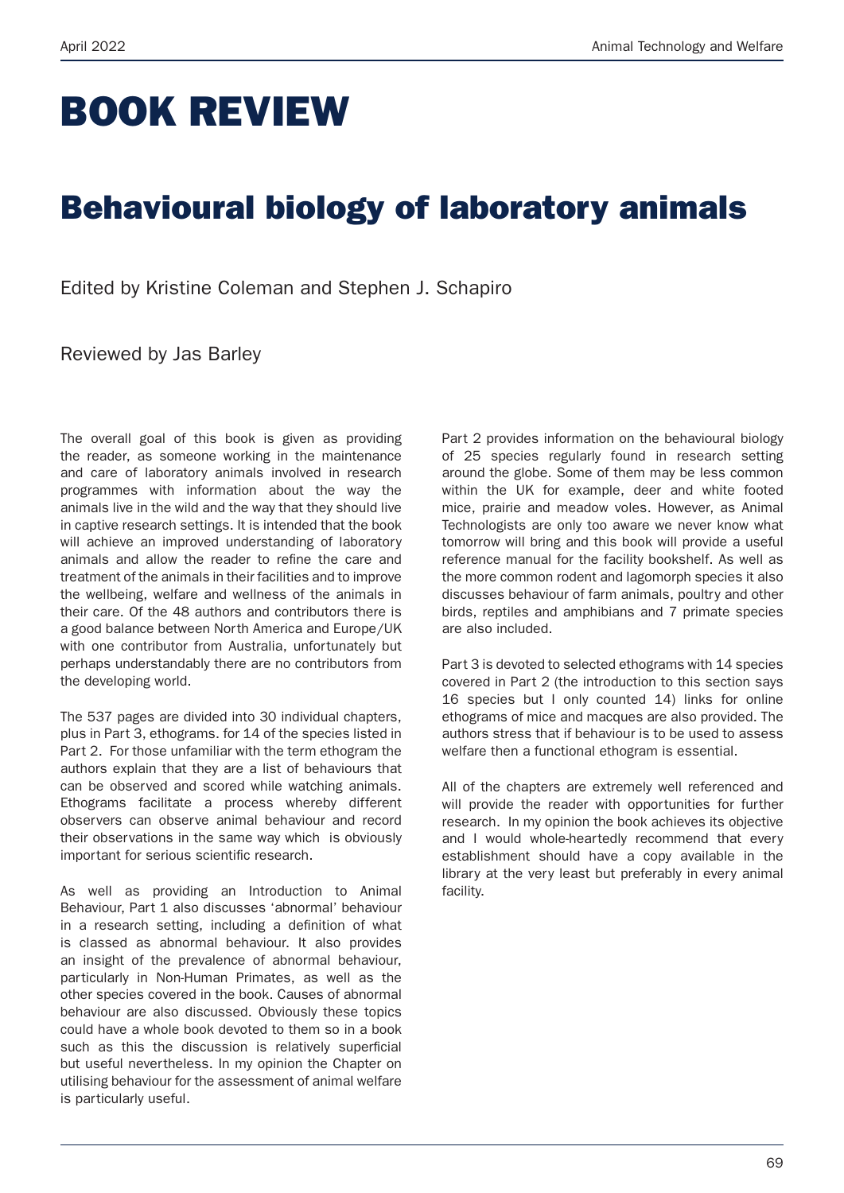# BOOK REVIEW

## Behavioural biology of laboratory animals

Edited by Kristine Coleman and Stephen J. Schapiro

Reviewed by Jas Barley

The overall goal of this book is given as providing the reader, as someone working in the maintenance and care of laboratory animals involved in research programmes with information about the way the animals live in the wild and the way that they should live in captive research settings. It is intended that the book will achieve an improved understanding of laboratory animals and allow the reader to refine the care and treatment of the animals in their facilities and to improve the wellbeing, welfare and wellness of the animals in their care. Of the 48 authors and contributors there is a good balance between North America and Europe/UK with one contributor from Australia, unfortunately but perhaps understandably there are no contributors from the developing world.

The 537 pages are divided into 30 individual chapters, plus in Part 3, ethograms. for 14 of the species listed in Part 2. For those unfamiliar with the term ethogram the authors explain that they are a list of behaviours that can be observed and scored while watching animals. Ethograms facilitate a process whereby different observers can observe animal behaviour and record their observations in the same way which is obviously important for serious scientific research.

As well as providing an Introduction to Animal Behaviour, Part 1 also discusses 'abnormal' behaviour in a research setting, including a definition of what is classed as abnormal behaviour. It also provides an insight of the prevalence of abnormal behaviour, particularly in Non-Human Primates, as well as the other species covered in the book. Causes of abnormal behaviour are also discussed. Obviously these topics could have a whole book devoted to them so in a book such as this the discussion is relatively superficial but useful nevertheless. In my opinion the Chapter on utilising behaviour for the assessment of animal welfare is particularly useful.

Part 2 provides information on the behavioural biology of 25 species regularly found in research setting around the globe. Some of them may be less common within the UK for example, deer and white footed mice, prairie and meadow voles. However, as Animal Technologists are only too aware we never know what tomorrow will bring and this book will provide a useful reference manual for the facility bookshelf. As well as the more common rodent and lagomorph species it also discusses behaviour of farm animals, poultry and other birds, reptiles and amphibians and 7 primate species are also included.

Part 3 is devoted to selected ethograms with 14 species covered in Part 2 (the introduction to this section says 16 species but I only counted 14) links for online ethograms of mice and macques are also provided. The authors stress that if behaviour is to be used to assess welfare then a functional ethogram is essential.

All of the chapters are extremely well referenced and will provide the reader with opportunities for further research. In my opinion the book achieves its objective and I would whole-heartedly recommend that every establishment should have a copy available in the library at the very least but preferably in every animal facility.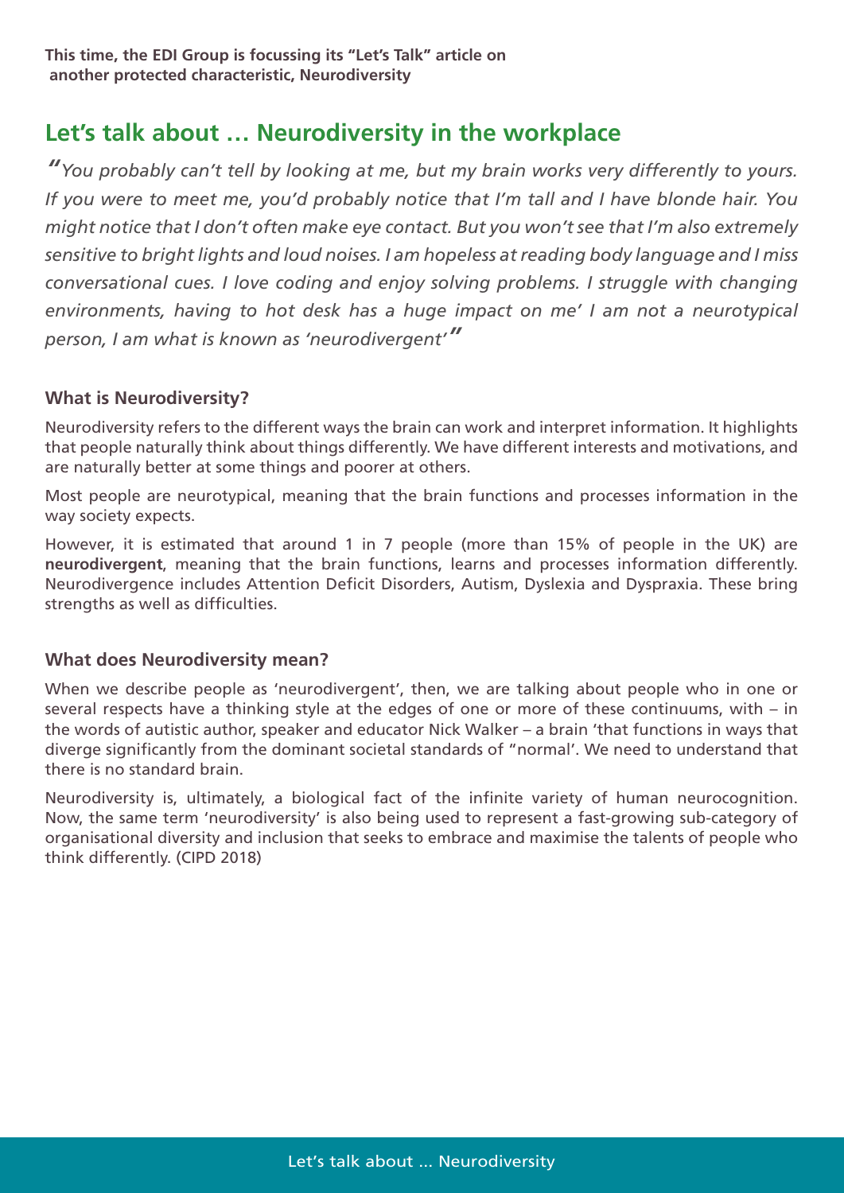### **Let's talk about … Neurodiversity in the workplace**

*"You probably can't tell by looking at me, but my brain works very differently to yours. If you were to meet me, you'd probably notice that I'm tall and I have blonde hair. You might notice that I don't often make eye contact. But you won't see that I'm also extremely sensitive to bright lights and loud noises. I am hopeless at reading body language and I miss conversational cues. I love coding and enjoy solving problems. I struggle with changing environments, having to hot desk has a huge impact on me' I am not a neurotypical person, I am what is known as 'neurodivergent'"*

#### **What is Neurodiversity?**

Neurodiversity refers to the different ways the brain can work and interpret information. It highlights that people naturally think about things differently. We have different interests and motivations, and are naturally better at some things and poorer at others.

Most people are neurotypical, meaning that the brain functions and processes information in the way society expects.

However, it is estimated that around 1 in 7 people (more than 15% of people in the UK) are **neurodivergent**, meaning that the brain functions, learns and processes information differently. Neurodivergence includes Attention Deficit Disorders, Autism, Dyslexia and Dyspraxia. These bring strengths as well as difficulties.

#### **What does Neurodiversity mean?**

When we describe people as 'neurodivergent', then, we are talking about people who in one or several respects have a thinking style at the edges of one or more of these continuums, with – in the words of autistic author, speaker and educator Nick Walker – a brain 'that functions in ways that diverge significantly from the dominant societal standards of "normal'. We need to understand that there is no standard brain.

Neurodiversity is, ultimately, a biological fact of the infinite variety of human neurocognition. Now, the same term 'neurodiversity' is also being used to represent a fast-growing sub-category of organisational diversity and inclusion that seeks to embrace and maximise the talents of people who think differently. (CIPD 2018)